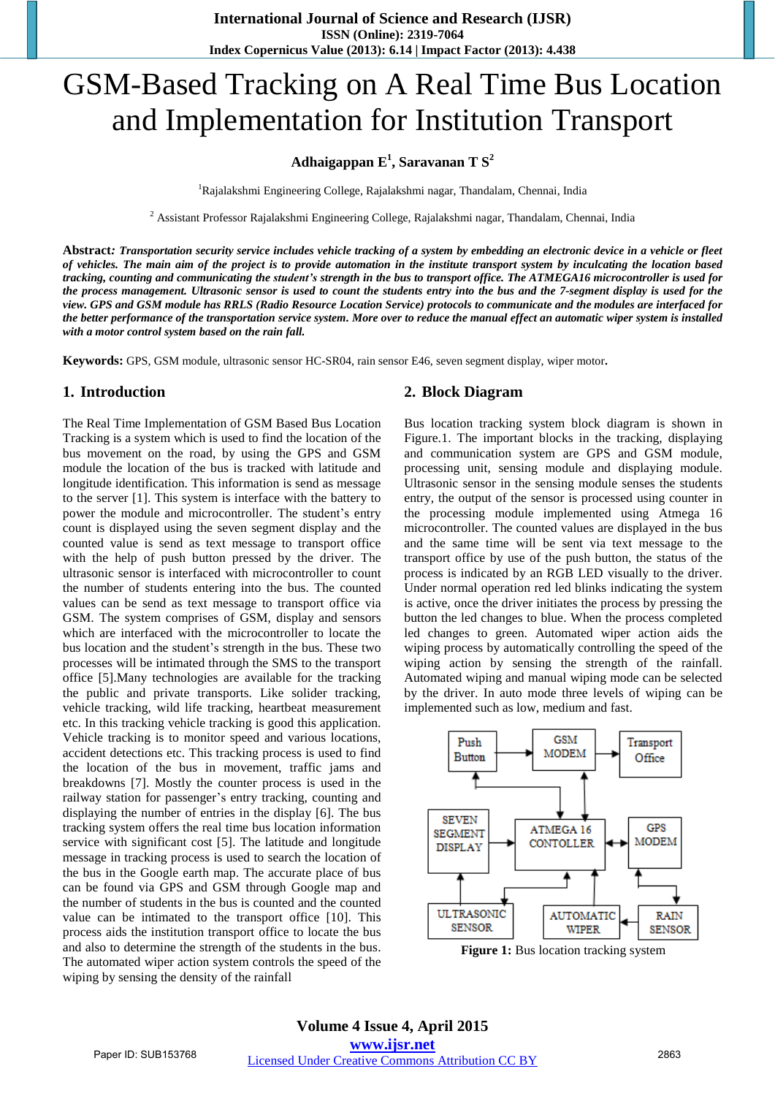# GSM-Based Tracking on A Real Time Bus Location and Implementation for Institution Transport

# **Adhaigappan E<sup>1</sup> , Saravanan T S<sup>2</sup>**

<sup>1</sup>Rajalakshmi Engineering College, Rajalakshmi nagar, Thandalam, Chennai, India

 $^2$  Assistant Professor Rajalakshmi Engineering College, Rajalakshmi nagar, Thandalam, Chennai, India

**Abstract***: Transportation security service includes vehicle tracking of a system by embedding an electronic device in a vehicle or fleet of vehicles. The main aim of the project is to provide automation in the institute transport system by inculcating the location based tracking, counting and communicating the student's strength in the bus to transport office. The ATMEGA16 microcontroller is used for the process management. Ultrasonic sensor is used to count the students entry into the bus and the 7-segment display is used for the view. GPS and GSM module has RRLS (Radio Resource Location Service) protocols to communicate and the modules are interfaced for the better performance of the transportation service system. More over to reduce the manual effect an automatic wiper system is installed with a motor control system based on the rain fall.* 

**Keywords:** GPS, GSM module, ultrasonic sensor HC-SR04, rain sensor E46, seven segment display, wiper motor**.** 

#### **1. Introduction**

The Real Time Implementation of GSM Based Bus Location Tracking is a system which is used to find the location of the bus movement on the road, by using the GPS and GSM module the location of the bus is tracked with latitude and longitude identification. This information is send as message to the server [1]. This system is interface with the battery to power the module and microcontroller. The student's entry count is displayed using the seven segment display and the counted value is send as text message to transport office with the help of push button pressed by the driver. The ultrasonic sensor is interfaced with microcontroller to count the number of students entering into the bus. The counted values can be send as text message to transport office via GSM. The system comprises of GSM, display and sensors which are interfaced with the microcontroller to locate the bus location and the student's strength in the bus. These two processes will be intimated through the SMS to the transport office [5].Many technologies are available for the tracking the public and private transports. Like solider tracking, vehicle tracking, wild life tracking, heartbeat measurement etc. In this tracking vehicle tracking is good this application. Vehicle tracking is to monitor speed and various locations, accident detections etc. This tracking process is used to find the location of the bus in movement, traffic jams and breakdowns [7]. Mostly the counter process is used in the railway station for passenger's entry tracking, counting and displaying the number of entries in the display [6]. The bus tracking system offers the real time bus location information service with significant cost [5]. The latitude and longitude message in tracking process is used to search the location of the bus in the Google earth map. The accurate place of bus can be found via GPS and GSM through Google map and the number of students in the bus is counted and the counted value can be intimated to the transport office [10]. This process aids the institution transport office to locate the bus and also to determine the strength of the students in the bus. The automated wiper action system controls the speed of the wiping by sensing the density of the rainfall

# **2. Block Diagram**

Bus location tracking system block diagram is shown in Figure.1. The important blocks in the tracking, displaying and communication system are GPS and GSM module, processing unit, sensing module and displaying module. Ultrasonic sensor in the sensing module senses the students entry, the output of the sensor is processed using counter in the processing module implemented using Atmega 16 microcontroller. The counted values are displayed in the bus and the same time will be sent via text message to the transport office by use of the push button, the status of the process is indicated by an RGB LED visually to the driver. Under normal operation red led blinks indicating the system is active, once the driver initiates the process by pressing the button the led changes to blue. When the process completed led changes to green. Automated wiper action aids the wiping process by automatically controlling the speed of the wiping action by sensing the strength of the rainfall. Automated wiping and manual wiping mode can be selected by the driver. In auto mode three levels of wiping can be implemented such as low, medium and fast.



**Figure 1:** Bus location tracking system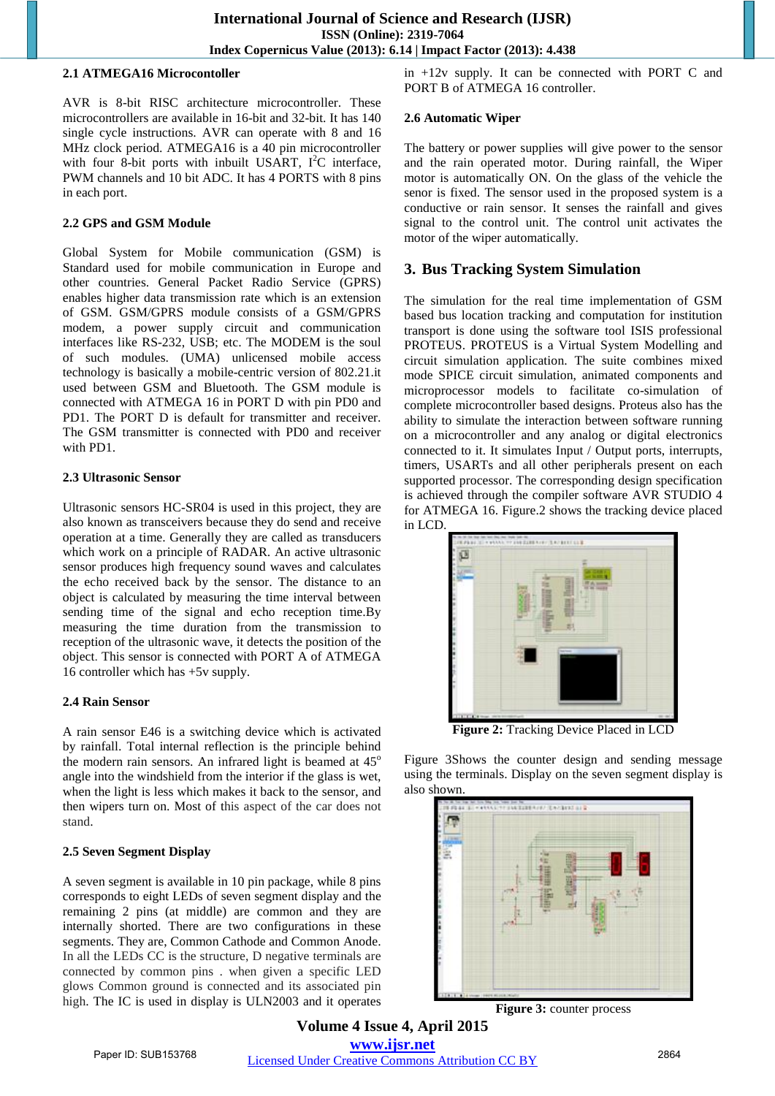#### **2.1 ATMEGA16 Microcontoller**

AVR is 8-bit RISC architecture microcontroller. These microcontrollers are available in 16-bit and 32-bit. It has 140 single cycle instructions. AVR can operate with 8 and 16 MHz clock period. ATMEGA16 is a 40 pin microcontroller with four 8-bit ports with inbuilt USART,  $I^2C$  interface, PWM channels and 10 bit ADC. It has 4 PORTS with 8 pins in each port.

#### **2.2 GPS and GSM Module**

Global System for Mobile communication (GSM) is Standard used for mobile communication in Europe and other countries. General Packet Radio Service (GPRS) enables higher data transmission rate which is an extension of GSM. GSM/GPRS module consists of a GSM/GPRS modem, a power supply circuit and communication interfaces like RS-232, USB; etc. The MODEM is the soul of such modules. (UMA) unlicensed mobile access technology is basically a mobile-centric version of 802.21.it used between GSM and Bluetooth. The GSM module is connected with ATMEGA 16 in PORT D with pin PD0 and PD1. The PORT D is default for transmitter and receiver. The GSM transmitter is connected with PD0 and receiver with PD1.

#### **2.3 Ultrasonic Sensor**

Ultrasonic sensors HC-SR04 is used in this project, they are also known as transceivers because they do send and receive operation at a time. Generally they are called as transducers which work on a principle of RADAR. An active ultrasonic sensor produces high frequency sound waves and calculates the echo received back by the sensor. The distance to an object is calculated by measuring the time interval between sending time of the signal and echo reception time.By measuring the time duration from the transmission to reception of the ultrasonic wave, it detects the position of the object. This sensor is connected with PORT A of ATMEGA 16 controller which has +5v supply.

#### **2.4 Rain Sensor**

A rain sensor E46 is a switching device which is activated by rainfall. Total internal reflection is the principle behind the modern rain sensors. An infrared light is beamed at  $45^\circ$ angle into the windshield from the interior if the glass is wet, when the light is less which makes it back to the sensor, and then wipers turn on. Most of this aspect of the car does not stand.

#### **2.5 Seven Segment Display**

A seven segment is available in 10 pin package, while 8 pins corresponds to eight LEDs of seven segment display and the remaining 2 pins (at middle) are common and they are internally shorted. There are two configurations in these segments. They are, Common Cathode and Common Anode. In all the LEDs CC is the structure, D negative terminals are connected by common pins . when given a specific LED glows Common ground is connected and its associated pin high. The IC is used in display is ULN2003 and it operates in +12v supply. It can be connected with PORT C and PORT B of ATMEGA 16 controller.

#### **2.6 Automatic Wiper**

The battery or power supplies will give power to the sensor and the rain operated motor. During rainfall, the Wiper motor is automatically ON. On the glass of the vehicle the senor is fixed. The sensor used in the proposed system is a conductive or rain sensor. It senses the rainfall and gives signal to the control unit. The control unit activates the motor of the wiper automatically.

# **3. Bus Tracking System Simulation**

The simulation for the real time implementation of GSM based bus location tracking and computation for institution transport is done using the software tool ISIS professional PROTEUS. PROTEUS is a Virtual System Modelling and circuit simulation application. The suite combines mixed mode SPICE circuit simulation, animated components and microprocessor models to facilitate co-simulation of complete microcontroller based designs. Proteus also has the ability to simulate the interaction between software running on a microcontroller and any analog or digital electronics connected to it. It simulates Input / Output ports, interrupts, timers, USARTs and all other peripherals present on each supported processor. The corresponding design specification is achieved through the compiler software AVR STUDIO 4 for ATMEGA 16. Figure.2 shows the tracking device placed in LCD.



**Figure 2:** Tracking Device Placed in LCD

Figure 3Shows the counter design and sending message using the terminals. Display on the seven segment display is also shown.

**Figure 3:** counter process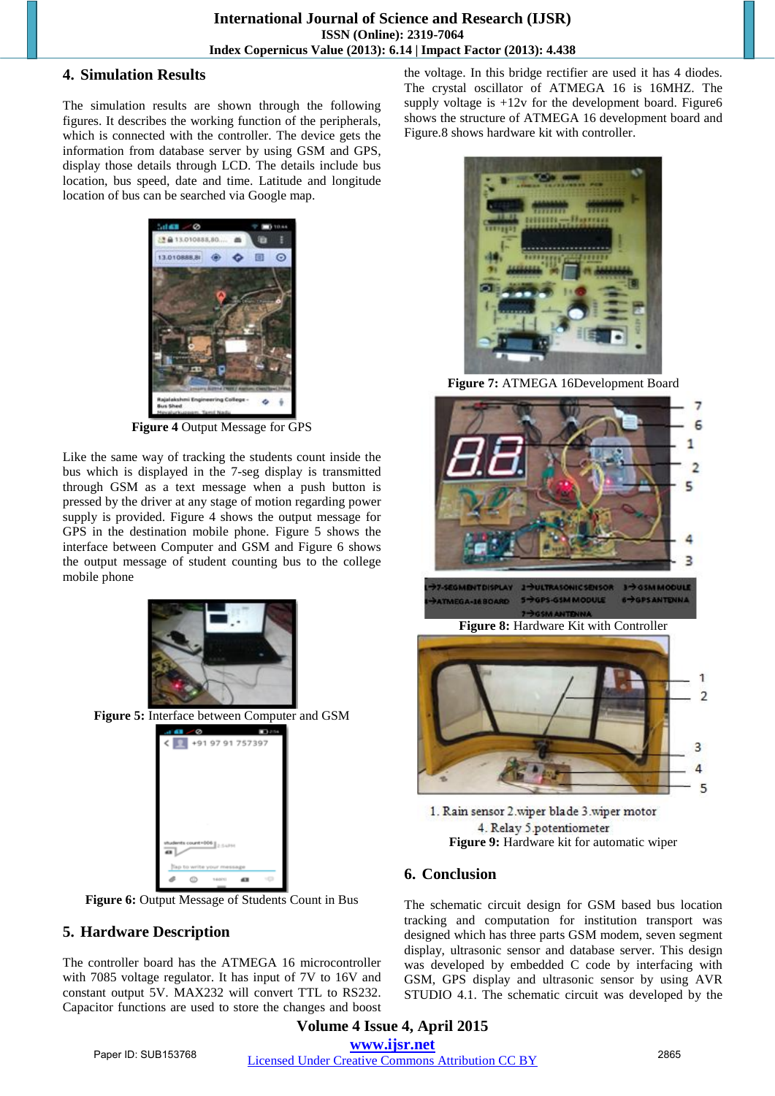### **4. Simulation Results**

The simulation results are shown through the following figures. It describes the working function of the peripherals, which is connected with the controller. The device gets the information from database server by using GSM and GPS, display those details through LCD. The details include bus location, bus speed, date and time. Latitude and longitude location of bus can be searched via Google map.



**Figure 4** Output Message for GPS

Like the same way of tracking the students count inside the bus which is displayed in the 7-seg display is transmitted through GSM as a text message when a push button is pressed by the driver at any stage of motion regarding power supply is provided. Figure 4 shows the output message for GPS in the destination mobile phone. Figure 5 shows the interface between Computer and GSM and Figure 6 shows the output message of student counting bus to the college mobile phone



**Figure 5:** Interface between Computer and GSM



**Figure 6:** Output Message of Students Count in Bus

# **5. Hardware Description**

The controller board has the ATMEGA 16 microcontroller with 7085 voltage regulator. It has input of 7V to 16V and constant output 5V. MAX232 will convert TTL to RS232. Capacitor functions are used to store the changes and boost the voltage. In this bridge rectifier are used it has 4 diodes. The crystal oscillator of ATMEGA 16 is 16MHZ. The supply voltage is  $+12v$  for the development board. Figure6 shows the structure of ATMEGA 16 development board and Figure.8 shows hardware kit with controller.



**Figure 7:** ATMEGA 16Development Board



1. Rain sensor 2.wiper blade 3.wiper motor 4. Relay 5.potentiometer **Figure 9:** Hardware kit for automatic wiper

# **6. Conclusion**

The schematic circuit design for GSM based bus location tracking and computation for institution transport was designed which has three parts GSM modem, seven segment display, ultrasonic sensor and database server. This design was developed by embedded C code by interfacing with GSM, GPS display and ultrasonic sensor by using AVR STUDIO 4.1. The schematic circuit was developed by the